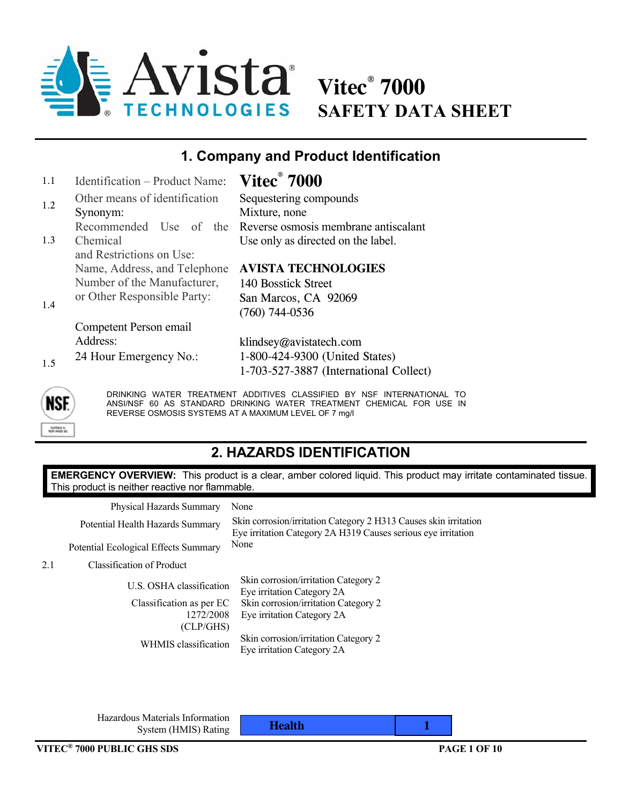

**Vitec® 7000 SAFETY DATA SHEET** 

#### **1. Company and Product Identification**

| 1.1 | <b>Identification – Product Name:</b> | <b>Vitec</b> ® 7000                                         |
|-----|---------------------------------------|-------------------------------------------------------------|
| 1.2 | Other means of identification         | Sequestering compounds                                      |
|     | Synonym:                              | Mixture, none                                               |
|     |                                       | Recommended Use of the Reverse osmosis membrane antiscalant |
| 1.3 | Chemical                              | Use only as directed on the label.                          |
|     | and Restrictions on Use:              |                                                             |
|     | Name, Address, and Telephone          | <b>AVISTA TECHNOLOGIES</b>                                  |
|     | Number of the Manufacturer,           | 140 Bosstick Street                                         |
|     | or Other Responsible Party:           | San Marcos, CA 92069                                        |
| 1.4 |                                       | $(760)$ 744-0536                                            |
|     | Competent Person email                |                                                             |
|     | Address:                              | klindsey@avistatech.com                                     |
|     | 24 Hour Emergency No.:                | 1-800-424-9300 (United States)                              |
| 1.5 |                                       | 1-703-527-3887 (International Collect)                      |



DRINKING WATER TREATMENT ADDITIVES CLASSIFIED BY NSF INTERNATIONAL TO ANSI/NSF 60 AS STANDARD DRINKING WATER TREATMENT CHEMICAL FOR USE IN REVERSE OSMOSIS SYSTEMS AT A MAXIMUM LEVEL OF 7 mg/l

## **2. HAZARDS IDENTIFICATION**

**EMERGENCY OVERVIEW:** This product is a clear, amber colored liquid. This product may irritate contaminated tissue. This product is neither reactive nor flammable.

Physical Hazards Summary None Potential Ecological Effects Summary None

Potential Health Hazards Summary Skin corrosion/irritation Category 2 H313 Causes skin irritation Eye irritation Category 2A H319 Causes serious eye irritation

2.1 Classification of Product

U.S. OSHA classification Skin corrosion/irritation Category 2 Eye irritation Category 2A Classification as per EC 1272/2008 (CLP/GHS) Skin corrosion/irritation Category 2 Eye irritation Category 2A WHMIS classification Skin corrosion/irritation Category 2 Eye irritation Category 2A

 Hazardous Materials Information System (HMIS) Rating **Health** 1 **1 Health**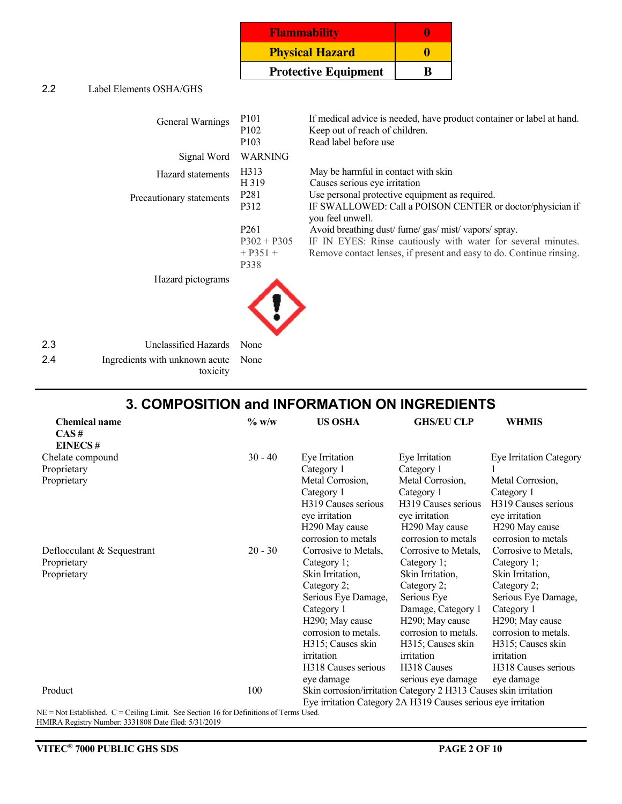| <b>Flammability</b>         | o |
|-----------------------------|---|
| <b>Physical Hazard</b>      |   |
| <b>Protective Equipment</b> |   |

#### 2.2 Label Elements OSHA/GHS

| General Warnings            | P <sub>101</sub><br>P <sub>102</sub><br>P <sub>103</sub>                            | If medical advice is needed, have product container or label at hand.<br>Keep out of reach of children.<br>Read label before use                                                                                                                                                                                           |
|-----------------------------|-------------------------------------------------------------------------------------|----------------------------------------------------------------------------------------------------------------------------------------------------------------------------------------------------------------------------------------------------------------------------------------------------------------------------|
| Signal Word                 | <b>WARNING</b>                                                                      |                                                                                                                                                                                                                                                                                                                            |
| Hazard statements           | H313<br>H 319                                                                       | May be harmful in contact with skin<br>Causes serious eye irritation                                                                                                                                                                                                                                                       |
| Precautionary statements    | P <sub>281</sub><br>P312<br>P <sub>261</sub><br>$P302 + P305$<br>$+$ P351 +<br>P338 | Use personal protective equipment as required.<br>IF SWALLOWED: Call a POISON CENTER or doctor/physician if<br>you feel unwell.<br>Avoid breathing dust/fume/gas/mist/vapors/spray.<br>IF IN EYES: Rinse cautiously with water for several minutes.<br>Remove contact lenses, if present and easy to do. Continue rinsing. |
| Hazard pictograms           |                                                                                     |                                                                                                                                                                                                                                                                                                                            |
| 2.3<br>Unclassified Hazards | None                                                                                |                                                                                                                                                                                                                                                                                                                            |

| -2.4 | Ingredients with unknown acute None |  |
|------|-------------------------------------|--|
|      | toxicity                            |  |

#### **3. COMPOSITION and INFORMATION ON INGREDIENTS**

| <b>Chemical name</b>                                                                      | $\%$ w/w  | <b>US OSHA</b>             | <b>GHS/EU CLP</b>                                                | <b>WHMIS</b>                   |
|-------------------------------------------------------------------------------------------|-----------|----------------------------|------------------------------------------------------------------|--------------------------------|
| CAS#                                                                                      |           |                            |                                                                  |                                |
| <b>EINECS#</b>                                                                            |           |                            |                                                                  |                                |
| Chelate compound                                                                          | $30 - 40$ | Eye Irritation             | Eye Irritation                                                   | <b>Eye Irritation Category</b> |
| Proprietary                                                                               |           | Category 1                 | Category 1                                                       |                                |
| Proprietary                                                                               |           | Metal Corrosion,           | Metal Corrosion,                                                 | Metal Corrosion,               |
|                                                                                           |           | Category 1                 | Category 1                                                       | Category 1                     |
|                                                                                           |           | H319 Causes serious        | H319 Causes serious                                              | H319 Causes serious            |
|                                                                                           |           | eye irritation             | eye irritation                                                   | eye irritation                 |
|                                                                                           |           | H <sub>290</sub> May cause | H <sub>290</sub> May cause                                       | H <sub>290</sub> May cause     |
|                                                                                           |           | corrosion to metals        | corrosion to metals                                              | corrosion to metals            |
| Deflocculant & Sequestrant                                                                | $20 - 30$ | Corrosive to Metals,       | Corrosive to Metals,                                             | Corrosive to Metals,           |
| Proprietary                                                                               |           | Category 1;                | Category 1;                                                      | Category 1;                    |
| Proprietary                                                                               |           | Skin Irritation,           | Skin Irritation,                                                 | Skin Irritation,               |
|                                                                                           |           | Category 2;                | Category 2;                                                      | Category 2;                    |
|                                                                                           |           | Serious Eye Damage,        | Serious Eye                                                      | Serious Eye Damage,            |
|                                                                                           |           | Category 1                 | Damage, Category 1                                               | Category 1                     |
|                                                                                           |           | H290; May cause            | H <sub>290</sub> ; May cause                                     | H290; May cause                |
|                                                                                           |           | corrosion to metals.       | corrosion to metals.                                             | corrosion to metals.           |
|                                                                                           |           | H315; Causes skin          | H315; Causes skin                                                | H315; Causes skin              |
|                                                                                           |           | irritation                 | irritation                                                       | irritation                     |
|                                                                                           |           | H318 Causes serious        | H318 Causes                                                      | H318 Causes serious            |
|                                                                                           |           | eye damage                 | serious eye damage                                               | eye damage                     |
| Product                                                                                   | 100       |                            | Skin corrosion/irritation Category 2 H313 Causes skin irritation |                                |
|                                                                                           |           |                            | Eye irritation Category 2A H319 Causes serious eye irritation    |                                |
| $NF = Not$ Established $C = Ceiling$ I imit. See Section 16 for Definitions of Terms Used |           |                            |                                                                  |                                |

 $NE = Not$  Established.  $C =$  Ceiling Limit. See Section 16 for Definitions of Terms Used. HMIRA Registry Number: 3331808 Date filed: 5/31/2019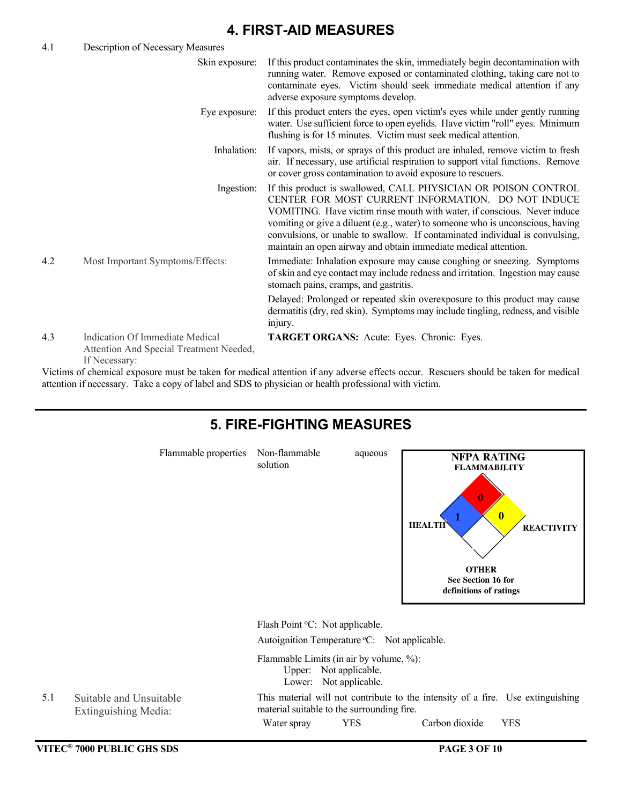#### **4. FIRST-AID MEASURES**

| 4.1 | Description of Necessary Measures                                                                     |                                                                                                                                                                                                                                                                                                                                                                                                                                       |
|-----|-------------------------------------------------------------------------------------------------------|---------------------------------------------------------------------------------------------------------------------------------------------------------------------------------------------------------------------------------------------------------------------------------------------------------------------------------------------------------------------------------------------------------------------------------------|
|     | Skin exposure:                                                                                        | If this product contaminates the skin, immediately begin decontamination with<br>running water. Remove exposed or contaminated clothing, taking care not to<br>contaminate eyes. Victim should seek immediate medical attention if any<br>adverse exposure symptoms develop.                                                                                                                                                          |
|     | Eye exposure:                                                                                         | If this product enters the eyes, open victim's eyes while under gently running<br>water. Use sufficient force to open eyelids. Have victim "roll" eyes. Minimum<br>flushing is for 15 minutes. Victim must seek medical attention.                                                                                                                                                                                                    |
|     | Inhalation:                                                                                           | If vapors, mists, or sprays of this product are inhaled, remove victim to fresh<br>air. If necessary, use artificial respiration to support vital functions. Remove<br>or cover gross contamination to avoid exposure to rescuers.                                                                                                                                                                                                    |
|     | Ingestion:                                                                                            | If this product is swallowed, CALL PHYSICIAN OR POISON CONTROL<br>CENTER FOR MOST CURRENT INFORMATION. DO NOT INDUCE<br>VOMITING. Have victim rinse mouth with water, if conscious. Never induce<br>vomiting or give a diluent (e.g., water) to someone who is unconscious, having<br>convulsions, or unable to swallow. If contaminated individual is convulsing,<br>maintain an open airway and obtain immediate medical attention. |
| 4.2 | Most Important Symptoms/Effects:                                                                      | Immediate: Inhalation exposure may cause coughing or sneezing. Symptoms<br>of skin and eye contact may include redness and irritation. Ingestion may cause<br>stomach pains, cramps, and gastritis.                                                                                                                                                                                                                                   |
|     |                                                                                                       | Delayed: Prolonged or repeated skin overexposure to this product may cause<br>dermatitis (dry, red skin). Symptoms may include tingling, redness, and visible<br>injury.                                                                                                                                                                                                                                                              |
| 4.3 | Indication Of Immediate Medical<br>Attention And Special Treatment Needed,<br>If Necessary:           | TARGET ORGANS: Acute: Eyes. Chronic: Eyes.                                                                                                                                                                                                                                                                                                                                                                                            |
|     |                                                                                                       | Victims of chemical exposure must be taken for medical attention if any adverse effects occur. Rescuers should be taken for medical                                                                                                                                                                                                                                                                                                   |
|     | attention if necessary. Take a copy of label and SDS to physician or health professional with victim. |                                                                                                                                                                                                                                                                                                                                                                                                                                       |

#### **VITEC® 7000 PUBLIC GHS SDS PAGE 3 OF 10 5. FIRE-FIGHTING MEASURES** Flammable properties Non-flammable aqueous solution Flash Point °C: Not applicable. Autoignition Temperature °C: Not applicable. Flammable Limits (in air by volume, %): Upper: Not applicable. Lower: Not applicable. 5.1 Suitable and Unsuitable Extinguishing Media: This material will not contribute to the intensity of a fire. Use extinguishing material suitable to the surrounding fire. Water spray YES Carbon dioxide YES **1 HEALTH FLAMMABILITY REACTIVITY OTHER See Section 16 for definitions of ratings NFPA RATING 0 0**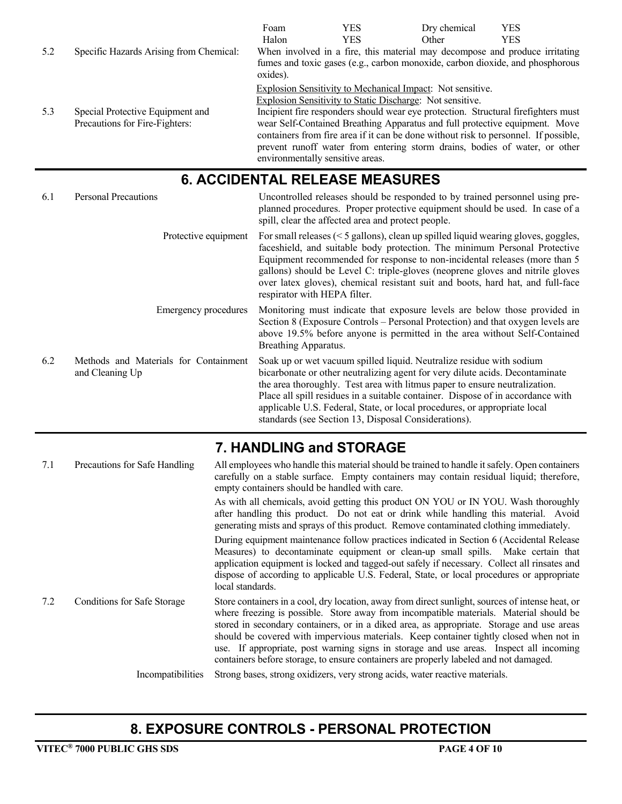|     |                                                                    | Foam                             | <b>YES</b>                                                                                                                                                                                                                                                                                                                             | Dry chemical | <b>YES</b> |
|-----|--------------------------------------------------------------------|----------------------------------|----------------------------------------------------------------------------------------------------------------------------------------------------------------------------------------------------------------------------------------------------------------------------------------------------------------------------------------|--------------|------------|
|     |                                                                    | Halon                            | <b>YES</b>                                                                                                                                                                                                                                                                                                                             | Other        | <b>YES</b> |
| 5.2 | Specific Hazards Arising from Chemical:                            |                                  | When involved in a fire, this material may decompose and produce irritating                                                                                                                                                                                                                                                            |              |            |
|     |                                                                    | oxides).                         | fumes and toxic gases (e.g., carbon monoxide, carbon dioxide, and phosphorous                                                                                                                                                                                                                                                          |              |            |
|     |                                                                    |                                  | Explosion Sensitivity to Mechanical Impact: Not sensitive.                                                                                                                                                                                                                                                                             |              |            |
|     |                                                                    |                                  | Explosion Sensitivity to Static Discharge: Not sensitive.                                                                                                                                                                                                                                                                              |              |            |
| 5.3 | Special Protective Equipment and<br>Precautions for Fire-Fighters: | environmentally sensitive areas. | Incipient fire responders should wear eye protection. Structural firefighters must<br>wear Self-Contained Breathing Apparatus and full protective equipment. Move<br>containers from fire area if it can be done without risk to personnel. If possible,<br>prevent runoff water from entering storm drains, bodies of water, or other |              |            |

## **6. ACCIDENTAL RELEASE MEASURES**

| 6.1 | <b>Personal Precautions</b>                              | Uncontrolled releases should be responded to by trained personnel using pre-<br>planned procedures. Proper protective equipment should be used. In case of a<br>spill, clear the affected area and protect people.                                                                                                                                                                                                                                         |
|-----|----------------------------------------------------------|------------------------------------------------------------------------------------------------------------------------------------------------------------------------------------------------------------------------------------------------------------------------------------------------------------------------------------------------------------------------------------------------------------------------------------------------------------|
|     | Protective equipment                                     | For small releases $(< 5$ gallons), clean up spilled liquid wearing gloves, goggles,<br>faceshield, and suitable body protection. The minimum Personal Protective<br>Equipment recommended for response to non-incidental releases (more than 5<br>gallons) should be Level C: triple-gloves (neoprene gloves and nitrile gloves<br>over latex gloves), chemical resistant suit and boots, hard hat, and full-face<br>respirator with HEPA filter.         |
|     | Emergency procedures                                     | Monitoring must indicate that exposure levels are below those provided in<br>Section 8 (Exposure Controls – Personal Protection) and that oxygen levels are<br>above 19.5% before anyone is permitted in the area without Self-Contained<br>Breathing Apparatus.                                                                                                                                                                                           |
| 6.2 | Methods and Materials for Containment<br>and Cleaning Up | Soak up or wet vacuum spilled liquid. Neutralize residue with sodium<br>bicarbonate or other neutralizing agent for very dilute acids. Decontaminate<br>the area thoroughly. Test area with litmus paper to ensure neutralization.<br>Place all spill residues in a suitable container. Dispose of in accordance with<br>applicable U.S. Federal, State, or local procedures, or appropriate local<br>standards (see Section 13, Disposal Considerations). |

#### **7. HANDLING and STORAGE**

| 7.1 | Precautions for Safe Handling | All employees who handle this material should be trained to handle it safely. Open containers<br>carefully on a stable surface. Empty containers may contain residual liquid; therefore,<br>empty containers should be handled with care.                                                                                                                                                                                                                                                                                                                            |
|-----|-------------------------------|----------------------------------------------------------------------------------------------------------------------------------------------------------------------------------------------------------------------------------------------------------------------------------------------------------------------------------------------------------------------------------------------------------------------------------------------------------------------------------------------------------------------------------------------------------------------|
|     |                               | As with all chemicals, avoid getting this product ON YOU or IN YOU. Wash thoroughly<br>after handling this product. Do not eat or drink while handling this material. Avoid<br>generating mists and sprays of this product. Remove contaminated clothing immediately.                                                                                                                                                                                                                                                                                                |
|     |                               | During equipment maintenance follow practices indicated in Section 6 (Accidental Release<br>Measures) to decontaminate equipment or clean-up small spills. Make certain that<br>application equipment is locked and tagged-out safely if necessary. Collect all rinsates and<br>dispose of according to applicable U.S. Federal, State, or local procedures or appropriate<br>local standards.                                                                                                                                                                       |
| 7.2 | Conditions for Safe Storage   | Store containers in a cool, dry location, away from direct sunlight, sources of intense heat, or<br>where freezing is possible. Store away from incompatible materials. Material should be<br>stored in secondary containers, or in a diked area, as appropriate. Storage and use areas<br>should be covered with impervious materials. Keep container tightly closed when not in<br>use. If appropriate, post warning signs in storage and use areas. Inspect all incoming<br>containers before storage, to ensure containers are properly labeled and not damaged. |
|     | Incompatibilities             | Strong bases, strong oxidizers, very strong acids, water reactive materials.                                                                                                                                                                                                                                                                                                                                                                                                                                                                                         |

# **8. EXPOSURE CONTROLS - PERSONAL PROTECTION**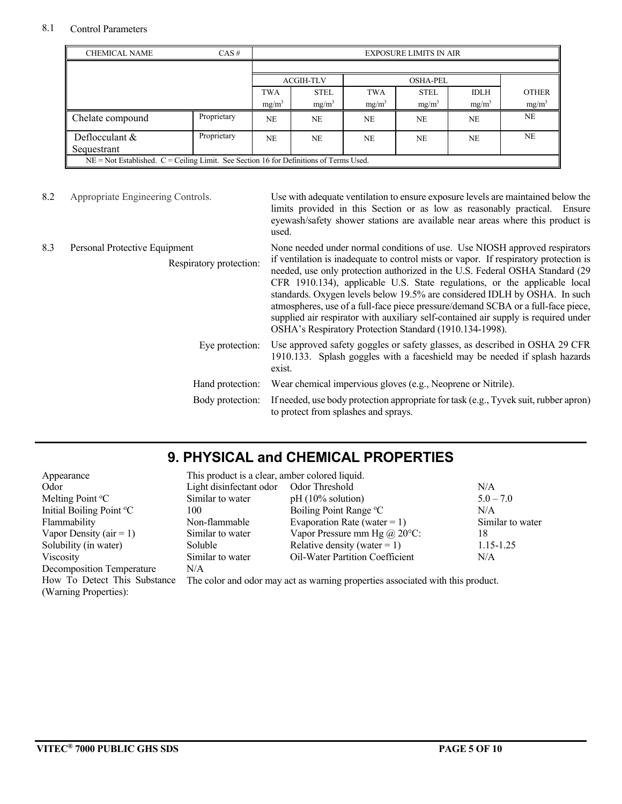#### 8.1 Control Parameters

| <b>CHEMICAL NAME</b><br>$CAS \#$                                                           |             | <b>EXPOSURE LIMITS IN AIR</b> |                   |            |                 |             |                   |  |
|--------------------------------------------------------------------------------------------|-------------|-------------------------------|-------------------|------------|-----------------|-------------|-------------------|--|
|                                                                                            |             |                               |                   |            |                 |             |                   |  |
|                                                                                            |             | <b>ACGIH-TLV</b>              |                   |            | <b>OSHA-PEL</b> |             |                   |  |
|                                                                                            |             | <b>TWA</b>                    | <b>STEL</b>       | <b>TWA</b> | <b>STEL</b>     | <b>IDLH</b> | <b>OTHER</b>      |  |
|                                                                                            |             | $mg/m^3$                      | mg/m <sup>3</sup> | $mg/m^3$   | $mg/m^3$        | $mg/m^3$    | mg/m <sup>3</sup> |  |
| Chelate compound                                                                           | Proprietary | NE.                           | <b>NE</b>         | <b>NE</b>  | <b>NE</b>       | <b>NE</b>   | <b>NE</b>         |  |
| Deflocculant $&$<br>Sequestrant                                                            | Proprietary | <b>NE</b>                     | <b>NE</b>         | <b>NE</b>  | NE              | <b>NE</b>   | <b>NE</b>         |  |
| $NE = Not$ Established. $C = Ceiling$ Limit. See Section 16 for Definitions of Terms Used. |             |                               |                   |            |                 |             |                   |  |

8.2 Appropriate Engineering Controls. Use with adequate ventilation to ensure exposure levels are maintained below the limits provided in this Section or as low as reasonably practical. Ensure eyewash/safety shower stations are available near areas where this product is used.

| Personal Protective Equipment<br>8.3<br>Respiratory protection: |                  | None needed under normal conditions of use. Use NIOSH approved respirators<br>if ventilation is inadequate to control mists or vapor. If respiratory protection is<br>needed, use only protection authorized in the U.S. Federal OSHA Standard (29<br>CFR 1910.134), applicable U.S. State regulations, or the applicable local<br>standards. Oxygen levels below 19.5% are considered IDLH by OSHA. In such<br>atmospheres, use of a full-face piece pressure/demand SCBA or a full-face piece,<br>supplied air respirator with auxiliary self-contained air supply is required under<br>OSHA's Respiratory Protection Standard (1910.134-1998). |
|-----------------------------------------------------------------|------------------|---------------------------------------------------------------------------------------------------------------------------------------------------------------------------------------------------------------------------------------------------------------------------------------------------------------------------------------------------------------------------------------------------------------------------------------------------------------------------------------------------------------------------------------------------------------------------------------------------------------------------------------------------|
|                                                                 | Eye protection:  | Use approved safety goggles or safety glasses, as described in OSHA 29 CFR<br>1910.133. Splash goggles with a faceshield may be needed if splash hazards<br>exist.                                                                                                                                                                                                                                                                                                                                                                                                                                                                                |
|                                                                 | Hand protection: | Wear chemical impervious gloves (e.g., Neoprene or Nitrile).                                                                                                                                                                                                                                                                                                                                                                                                                                                                                                                                                                                      |
|                                                                 | Body protection: | If needed, use body protection appropriate for task (e.g., Tyvek suit, rubber apron)<br>to protect from splashes and sprays.                                                                                                                                                                                                                                                                                                                                                                                                                                                                                                                      |

### **9. PHYSICAL and CHEMICAL PROPERTIES**

| Appearance                   | This product is a clear, amber colored liquid. |                                                                                |                  |  |  |
|------------------------------|------------------------------------------------|--------------------------------------------------------------------------------|------------------|--|--|
| Odor                         | Light disinfectant odor                        | Odor Threshold                                                                 | N/A              |  |  |
| Melting Point °C             | Similar to water                               | $pH(10\%$ solution)                                                            | $5.0 - 7.0$      |  |  |
| Initial Boiling Point °C     | 100                                            | Boiling Point Range °C                                                         | N/A              |  |  |
| Flammability                 | Non-flammable                                  | Evaporation Rate (water = 1)                                                   | Similar to water |  |  |
| Vapor Density ( $air = 1$ )  | Similar to water                               | Vapor Pressure mm Hg $(a)$ 20 $\degree$ C:                                     | 18               |  |  |
| Solubility (in water)        | <b>Soluble</b>                                 | Relative density (water = 1)                                                   | 1.15-1.25        |  |  |
| Viscosity                    | Similar to water                               | Oil-Water Partition Coefficient                                                | N/A              |  |  |
| Decomposition Temperature    | N/A                                            |                                                                                |                  |  |  |
| How To Detect This Substance |                                                | The color and odor may act as warning properties associated with this product. |                  |  |  |
| (Warning Properties):        |                                                |                                                                                |                  |  |  |
|                              |                                                |                                                                                |                  |  |  |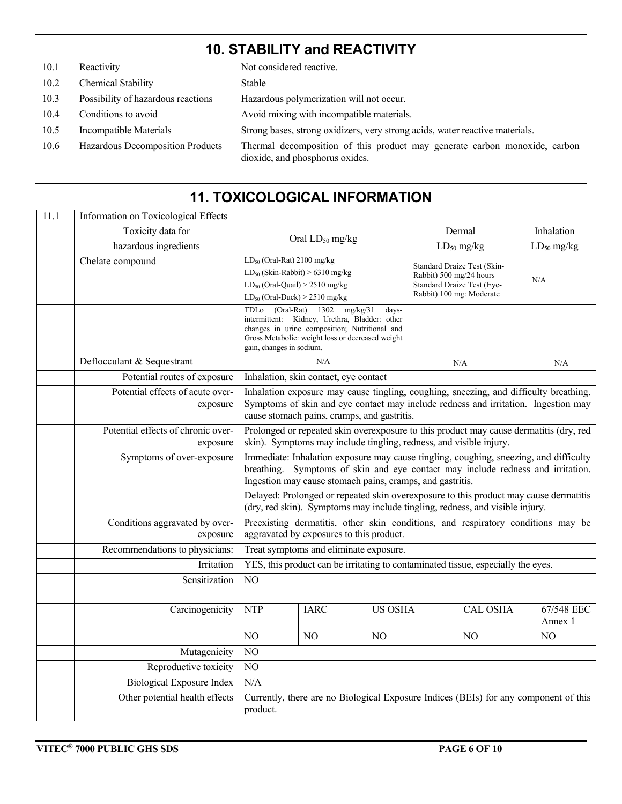### **10. STABILITY and REACTIVITY**

| 10.1 | Reactivity                         | Not considered reactive.                                                                                      |
|------|------------------------------------|---------------------------------------------------------------------------------------------------------------|
| 10.2 | Chemical Stability                 | Stable                                                                                                        |
| 10.3 | Possibility of hazardous reactions | Hazardous polymerization will not occur.                                                                      |
| 10.4 | Conditions to avoid                | Avoid mixing with incompatible materials.                                                                     |
| 10.5 | Incompatible Materials             | Strong bases, strong oxidizers, very strong acids, water reactive materials.                                  |
| 10.6 | Hazardous Decomposition Products   | Thermal decomposition of this product may generate carbon monoxide, carbon<br>dioxide, and phosphorus oxides. |

#### 11.1 | Information on Toxicological Effects Toxicity data for hazardous ingredients Oral  $LD_{50}$  mg/kg Dermal  $LD_{50}$  mg/kg Inhalation  $LD_{50}$  mg/kg Chelate compound LD<sub>50</sub> (Oral-Rat) 2100 mg/kg  $LD_{50}$  (Skin-Rabbit) > 6310 mg/kg  $LD_{50}$  (Oral-Quail)  $> 2510$  mg/kg  $LD_{50}$  (Oral-Duck)  $> 2510$  mg/kg Standard Draize Test (Skin-Rabbit) 500 mg/24 hours Standard Draize Test (Eye-Rabbit) 100 mg: Moderate N/A TDLo (Oral-Rat) 1302 mg/kg/31 daysintermittent: Kidney, Urethra, Bladder: other changes in urine composition; Nutritional and Gross Metabolic: weight loss or decreased weight gain, changes in sodium. Deflocculant & Sequestrant  $N/A$  N/A N/A N/A N/A N/A Potential routes of exposure | Inhalation, skin contact, eye contact Potential effects of acute overexposure Inhalation exposure may cause tingling, coughing, sneezing, and difficulty breathing. Symptoms of skin and eye contact may include redness and irritation. Ingestion may cause stomach pains, cramps, and gastritis. Potential effects of chronic overexposure Prolonged or repeated skin overexposure to this product may cause dermatitis (dry, red skin). Symptoms may include tingling, redness, and visible injury. Symptoms of over-exposure Immediate: Inhalation exposure may cause tingling, coughing, sneezing, and difficulty breathing. Symptoms of skin and eye contact may include redness and irritation. Ingestion may cause stomach pains, cramps, and gastritis. Delayed: Prolonged or repeated skin overexposure to this product may cause dermatitis (dry, red skin). Symptoms may include tingling, redness, and visible injury. Conditions aggravated by overexposure Preexisting dermatitis, other skin conditions, and respiratory conditions may be aggravated by exposures to this product. Recommendations to physicians: Treat symptoms and eliminate exposure. Irritation | YES, this product can be irritating to contaminated tissue, especially the eyes. Sensitization NO Carcinogenicity NTP IARC US OSHA CAL OSHA 67/548 EEC Annex 1 NO NO NO NO NO NO NO Mutagenicity | NO Reproductive toxicity NO Biological Exposure Index | N/A Other potential health effects Currently, there are no Biological Exposure Indices (BEIs) for any component of this product.

# **11. TOXICOLOGICAL INFORMATION**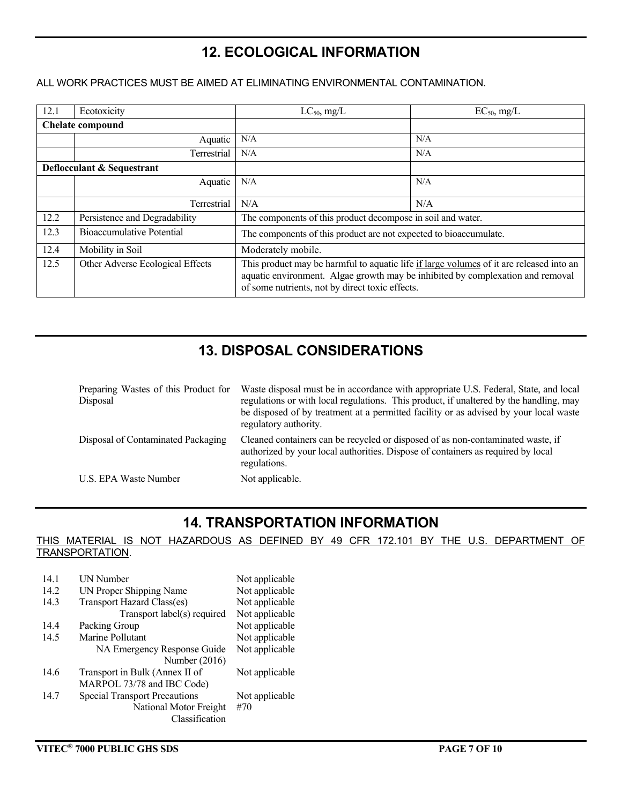## **12. ECOLOGICAL INFORMATION**

#### ALL WORK PRACTICES MUST BE AIMED AT ELIMINATING ENVIRONMENTAL CONTAMINATION.

| 12.1                       | Ecotoxicity                      | $LC_{50}$ , mg/L                                                                                                                                                                                                             | $EC_{50}$ , mg/L |
|----------------------------|----------------------------------|------------------------------------------------------------------------------------------------------------------------------------------------------------------------------------------------------------------------------|------------------|
| <b>Chelate compound</b>    |                                  |                                                                                                                                                                                                                              |                  |
|                            | Aquatic                          | N/A                                                                                                                                                                                                                          | N/A              |
|                            | Terrestrial                      | N/A                                                                                                                                                                                                                          | N/A              |
| Deflocculant & Sequestrant |                                  |                                                                                                                                                                                                                              |                  |
|                            | Aquatic                          | N/A                                                                                                                                                                                                                          | N/A              |
|                            | Terrestrial                      | N/A                                                                                                                                                                                                                          | N/A              |
| 12.2                       | Persistence and Degradability    | The components of this product decompose in soil and water.                                                                                                                                                                  |                  |
| 12.3                       | <b>Bioaccumulative Potential</b> | The components of this product are not expected to bioaccumulate.                                                                                                                                                            |                  |
| 12.4                       | Mobility in Soil                 | Moderately mobile.                                                                                                                                                                                                           |                  |
| 12.5                       | Other Adverse Ecological Effects | This product may be harmful to aquatic life if large volumes of it are released into an<br>aquatic environment. Algae growth may be inhibited by complexation and removal<br>of some nutrients, not by direct toxic effects. |                  |

# **13. DISPOSAL CONSIDERATIONS**

| Preparing Wastes of this Product for<br>Disposal | Waste disposal must be in accordance with appropriate U.S. Federal, State, and local<br>regulations or with local regulations. This product, if unaltered by the handling, may<br>be disposed of by treatment at a permitted facility or as advised by your local waste<br>regulatory authority. |
|--------------------------------------------------|--------------------------------------------------------------------------------------------------------------------------------------------------------------------------------------------------------------------------------------------------------------------------------------------------|
| Disposal of Contaminated Packaging               | Cleaned containers can be recycled or disposed of as non-contaminated waste, if<br>authorized by your local authorities. Dispose of containers as required by local<br>regulations.                                                                                                              |
| U.S. EPA Waste Number                            | Not applicable.                                                                                                                                                                                                                                                                                  |

#### **14. TRANSPORTATION INFORMATION**

#### THIS MATERIAL IS NOT HAZARDOUS AS DEFINED BY 49 CFR 172.101 BY THE U.S. DEPARTMENT OF TRANSPORTATION.

| 14 1 | <b>UN Number</b>                     | Not applicable |
|------|--------------------------------------|----------------|
| 14.2 | UN Proper Shipping Name              | Not applicable |
| 14.3 | Transport Hazard Class(es)           | Not applicable |
|      | Transport label(s) required          | Not applicable |
| 14.4 | Packing Group                        | Not applicable |
| 14.5 | Marine Pollutant                     | Not applicable |
|      | NA Emergency Response Guide          | Not applicable |
|      | Number (2016)                        |                |
| 14.6 | Transport in Bulk (Annex II of       | Not applicable |
|      | MARPOL 73/78 and IBC Code)           |                |
| 14.7 | <b>Special Transport Precautions</b> | Not applicable |
|      | National Motor Freight               | #70            |
|      | Classification                       |                |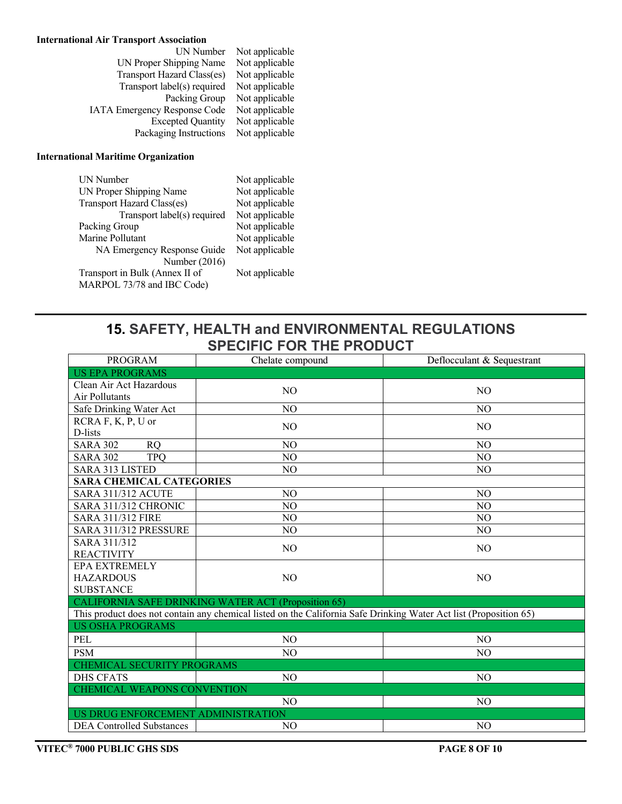#### **International Air Transport Association**

| UN Number                           | Not applicable |
|-------------------------------------|----------------|
| UN Proper Shipping Name             | Not applicable |
| Transport Hazard Class(es)          | Not applicable |
| Transport label(s) required         | Not applicable |
| Packing Group                       | Not applicable |
| <b>IATA Emergency Response Code</b> | Not applicable |
| <b>Excepted Quantity</b>            | Not applicable |
| Packaging Instructions              | Not applicable |
|                                     |                |

#### **International Maritime Organization**

| <b>UN Number</b>               | Not applicable |
|--------------------------------|----------------|
| UN Proper Shipping Name        | Not applicable |
| Transport Hazard Class(es)     | Not applicable |
| Transport label(s) required    | Not applicable |
| Packing Group                  | Not applicable |
| Marine Pollutant               | Not applicable |
| NA Emergency Response Guide    | Not applicable |
| Number (2016)                  |                |
| Transport in Bulk (Annex II of | Not applicable |
| MARPOL 73/78 and IBC Code)     |                |
|                                |                |

Not applicable Not applicable

#### **15. SAFETY, HEALTH and ENVIRONMENTAL REGULATIONS SPECIFIC FOR THE PRODUCT**

| <b>PROGRAM</b>                                               | Chelate compound                                                                                                  | Deflocculant & Sequestrant |  |
|--------------------------------------------------------------|-------------------------------------------------------------------------------------------------------------------|----------------------------|--|
| <b>US EPA PROGRAMS</b>                                       |                                                                                                                   |                            |  |
| Clean Air Act Hazardous<br>Air Pollutants                    | N <sub>O</sub>                                                                                                    | N <sub>O</sub>             |  |
| Safe Drinking Water Act                                      | N <sub>O</sub>                                                                                                    | N <sub>O</sub>             |  |
| RCRA F, K, P, U or<br>D-lists                                | N <sub>O</sub>                                                                                                    | N <sub>O</sub>             |  |
| <b>SARA 302</b><br><b>RQ</b>                                 | N <sub>O</sub>                                                                                                    | N <sub>O</sub>             |  |
| <b>SARA 302</b><br><b>TPO</b>                                | N <sub>O</sub>                                                                                                    | N <sub>O</sub>             |  |
| <b>SARA 313 LISTED</b>                                       | N <sub>O</sub>                                                                                                    | N <sub>O</sub>             |  |
| <b>SARA CHEMICAL CATEGORIES</b>                              |                                                                                                                   |                            |  |
| <b>SARA 311/312 ACUTE</b>                                    | N <sub>O</sub>                                                                                                    | N <sub>O</sub>             |  |
| SARA 311/312 CHRONIC                                         | N <sub>O</sub>                                                                                                    | N <sub>O</sub>             |  |
| <b>SARA 311/312 FIRE</b>                                     | N <sub>O</sub>                                                                                                    | N <sub>O</sub>             |  |
| SARA 311/312 PRESSURE                                        | N <sub>O</sub>                                                                                                    | N <sub>O</sub>             |  |
| SARA 311/312<br><b>REACTIVITY</b>                            | N <sub>O</sub>                                                                                                    | N <sub>O</sub>             |  |
| <b>EPA EXTREMELY</b><br><b>HAZARDOUS</b><br><b>SUBSTANCE</b> | N <sub>O</sub>                                                                                                    | N <sub>O</sub>             |  |
|                                                              | CALIFORNIA SAFE DRINKING WATER ACT (Proposition 65)                                                               |                            |  |
|                                                              | This product does not contain any chemical listed on the California Safe Drinking Water Act list (Proposition 65) |                            |  |
| <b>US OSHA PROGRAMS</b>                                      |                                                                                                                   |                            |  |
| PEL                                                          | N <sub>O</sub>                                                                                                    | NO.                        |  |
| <b>PSM</b>                                                   | N <sub>O</sub>                                                                                                    | NO                         |  |
| <b>CHEMICAL SECURITY PROGRAMS</b>                            |                                                                                                                   |                            |  |
| <b>DHS CFATS</b>                                             | N <sub>O</sub>                                                                                                    | N <sub>O</sub>             |  |
| CHEMICAL WEAPONS CONVENTION                                  |                                                                                                                   |                            |  |
|                                                              | N <sub>O</sub>                                                                                                    | N <sub>O</sub>             |  |
| US DRUG ENFORCEMENT ADMINISTRATION                           |                                                                                                                   |                            |  |
| <b>DEA Controlled Substances</b>                             | N <sub>O</sub>                                                                                                    | N <sub>O</sub>             |  |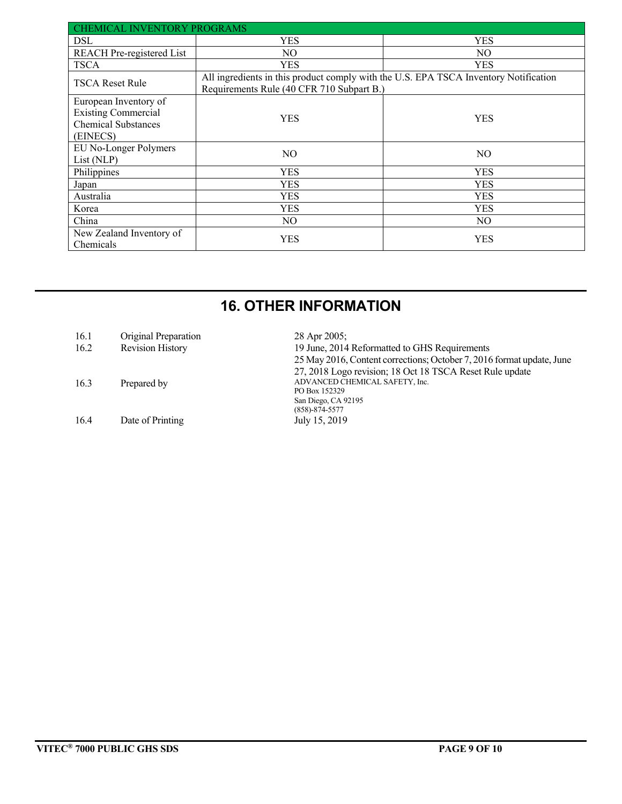| <b>CHEMICAL INVENTORY PROGRAMS</b>                                                            |                                                                                                                                   |                |  |
|-----------------------------------------------------------------------------------------------|-----------------------------------------------------------------------------------------------------------------------------------|----------------|--|
| <b>DSL</b>                                                                                    | YES                                                                                                                               | <b>YES</b>     |  |
| <b>REACH</b> Pre-registered List                                                              | NO.                                                                                                                               | NO.            |  |
| <b>TSCA</b>                                                                                   | YES                                                                                                                               | <b>YES</b>     |  |
| <b>TSCA Reset Rule</b>                                                                        | All ingredients in this product comply with the U.S. EPA TSCA Inventory Notification<br>Requirements Rule (40 CFR 710 Subpart B.) |                |  |
| European Inventory of<br><b>Existing Commercial</b><br><b>Chemical Substances</b><br>(EINECS) | YES                                                                                                                               | YES            |  |
| EU No-Longer Polymers<br>List (NLP)                                                           | NO.                                                                                                                               | N <sub>O</sub> |  |
| Philippines                                                                                   | YES                                                                                                                               | <b>YES</b>     |  |
| Japan                                                                                         | YES                                                                                                                               | YES            |  |
| Australia                                                                                     | YES                                                                                                                               | YES            |  |
| Korea                                                                                         | YES                                                                                                                               | YES            |  |
| China                                                                                         | NO.                                                                                                                               | NO.            |  |
| New Zealand Inventory of<br>Chemicals                                                         | YES                                                                                                                               | YES            |  |

# **16. OTHER INFORMATION**

| 16.1 | Original Preparation    | 28 Apr 2005;                                                          |
|------|-------------------------|-----------------------------------------------------------------------|
| 16.2 | <b>Revision History</b> | 19 June, 2014 Reformatted to GHS Requirements                         |
|      |                         | 25 May 2016, Content corrections; October 7, 2016 format update, June |
|      |                         | 27, 2018 Logo revision; 18 Oct 18 TSCA Reset Rule update              |
| 16.3 | Prepared by             | ADVANCED CHEMICAL SAFETY, Inc.                                        |
|      |                         | PO Box 152329                                                         |
|      |                         | San Diego, CA 92195                                                   |
|      |                         | $(858) - 874 - 5577$                                                  |
| 16.4 | Date of Printing        | July 15, 2019                                                         |